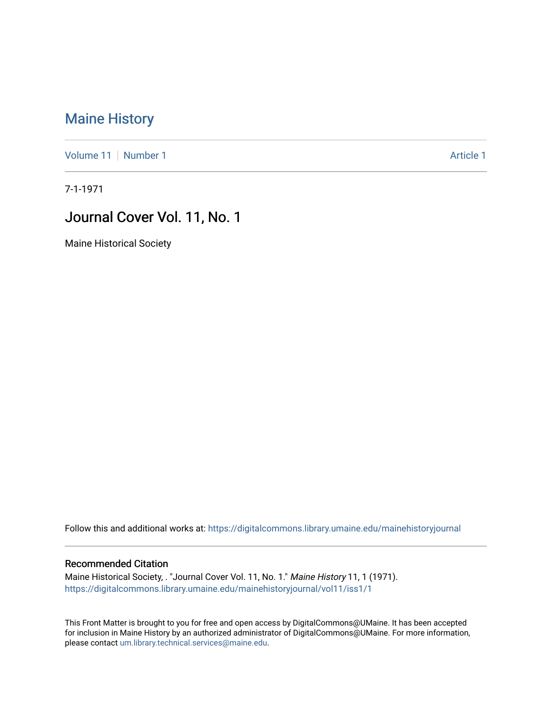## [Maine History](https://digitalcommons.library.umaine.edu/mainehistoryjournal)

[Volume 11](https://digitalcommons.library.umaine.edu/mainehistoryjournal/vol11) [Number 1](https://digitalcommons.library.umaine.edu/mainehistoryjournal/vol11/iss1) Article 1

7-1-1971

## Journal Cover Vol. 11, No. 1

Maine Historical Society

Follow this and additional works at: [https://digitalcommons.library.umaine.edu/mainehistoryjournal](https://digitalcommons.library.umaine.edu/mainehistoryjournal?utm_source=digitalcommons.library.umaine.edu%2Fmainehistoryjournal%2Fvol11%2Fiss1%2F1&utm_medium=PDF&utm_campaign=PDFCoverPages) 

## Recommended Citation

Maine Historical Society, . "Journal Cover Vol. 11, No. 1." Maine History 11, 1 (1971). [https://digitalcommons.library.umaine.edu/mainehistoryjournal/vol11/iss1/1](https://digitalcommons.library.umaine.edu/mainehistoryjournal/vol11/iss1/1?utm_source=digitalcommons.library.umaine.edu%2Fmainehistoryjournal%2Fvol11%2Fiss1%2F1&utm_medium=PDF&utm_campaign=PDFCoverPages)

This Front Matter is brought to you for free and open access by DigitalCommons@UMaine. It has been accepted for inclusion in Maine History by an authorized administrator of DigitalCommons@UMaine. For more information, please contact [um.library.technical.services@maine.edu.](mailto:um.library.technical.services@maine.edu)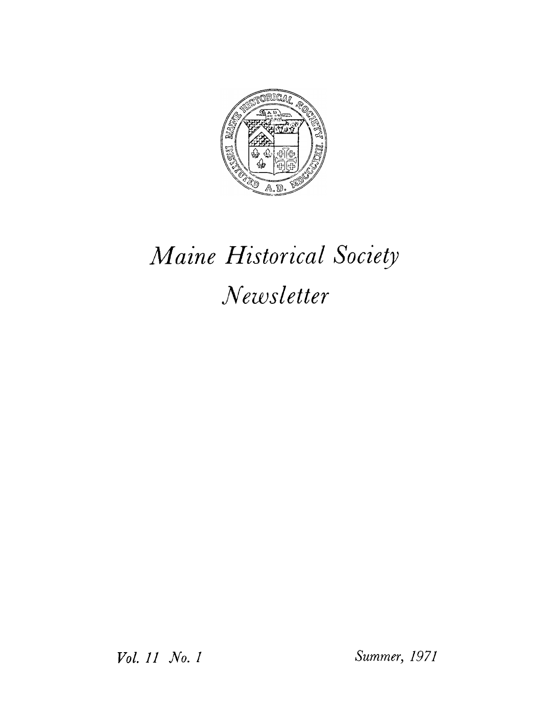

## *Maine Historical Society Newsletter*